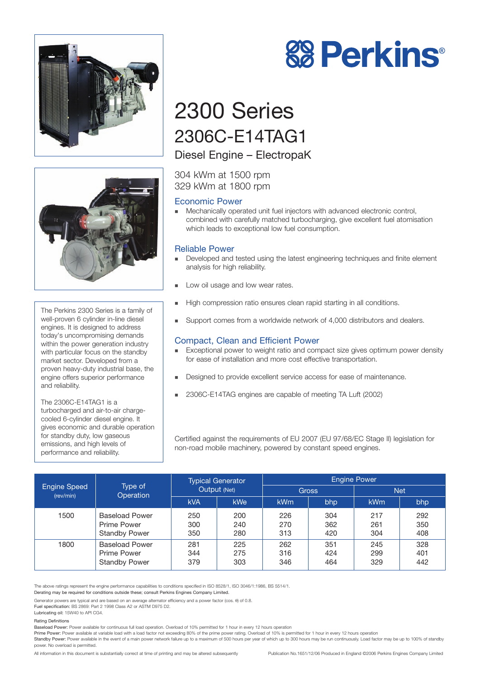



The Perkins 2300 Series is a family of well-proven 6 cylinder in-line diesel engines. It is designed to address today's uncompromising demands within the power generation industry with particular focus on the standby market sector. Developed from a proven heavy-duty industrial base, the engine offers superior performance and reliability.

The 2306C-E14TAG1 is a turbocharged and air-to-air chargecooled 6-cylinder diesel engine. It gives economic and durable operation for standby duty, low gaseous emissions, and high levels of performance and reliability.



# 2300 Series 2306C-E14TAG1

# Diesel Engine – ElectropaK

304 kWm at 1500 rpm 329 kWm at 1800 rpm

### Economic Power

! Mechanically operated unit fuel injectors with advanced electronic control, combined with carefully matched turbocharging, give excellent fuel atomisation which leads to exceptional low fuel consumption.

### Reliable Power

- Developed and tested using the latest engineering techniques and finite element analysis for high reliability.
- **Low oil usage and low wear rates.**
- ! High compression ratio ensures clean rapid starting in all conditions.
- Support comes from a worldwide network of 4,000 distributors and dealers.

# Compact, Clean and Efficient Power

- Exceptional power to weight ratio and compact size gives optimum power density for ease of installation and more cost effective transportation.
- ! Designed to provide excellent service access for ease of maintenance.
- ! 2306C-E14TAG engines are capable of meeting TA Luft (2002)

Certified against the requirements of EU 2007 (EU 97/68/EC Stage II) legislation for non-road mobile machinery, powered by constant speed engines.

| <b>Engine Speed</b><br>(rev/min) | Type of<br>Operation                                         | <b>Typical Generator</b><br>Output (Net) |                   | <b>Engine Power</b> |                   |                   |                   |
|----------------------------------|--------------------------------------------------------------|------------------------------------------|-------------------|---------------------|-------------------|-------------------|-------------------|
|                                  |                                                              |                                          |                   | <b>Gross</b>        |                   | <b>Net</b>        |                   |
|                                  |                                                              | <b>kVA</b>                               | kWe               | <b>kWm</b>          | bhp               | <b>kWm</b>        | bhp               |
| 1500                             | <b>Baseload Power</b><br>Prime Power<br><b>Standby Power</b> | 250<br>300<br>350                        | 200<br>240<br>280 | 226<br>270<br>313   | 304<br>362<br>420 | 217<br>261<br>304 | 292<br>350<br>408 |
| 1800                             | <b>Baseload Power</b><br>Prime Power<br><b>Standby Power</b> | 281<br>344<br>379                        | 225<br>275<br>303 | 262<br>316<br>346   | 351<br>424<br>464 | 245<br>299<br>329 | 328<br>401<br>442 |

The above ratings represent the engine performance capabilities to conditions specified in ISO 8528/1, ISO 3046/1:1986, BS 5514/1. Derating may be required for conditions outside these; consult Perkins Engines Company Limited.

Generator powers are typical and are based on an average alternator efficiency and a power factor (cos. θ) of 0.8.

Fuel specification: BS 2869: Part 2 1998 Class A2 or ASTM D975 D2.

# Lubricating oil: 15W40 to API CG4.

power. No overload is permitted.

Rating Definitions

Baseload Power: Power available for continuous full load operation. Overload of 10% permitted for 1 hour in every 12 hours operation

Prime Power: Power available at variable load with a load factor not exceeding 80% of the prime power rating. Overload of 10% is permitted for 1 hour in every 12 hours operation Standby Power: Power available in the event of a main power network failure up to a maximum of 500 hours per year of which up to 300 hours may be run continuously. Load factor may be up to 100% of standby

All information in this document is substantially correct at time of printing and may be altered subsequently Publication No.1651/12/06 Produced in England ©2006 Perkins Engines Company Limited